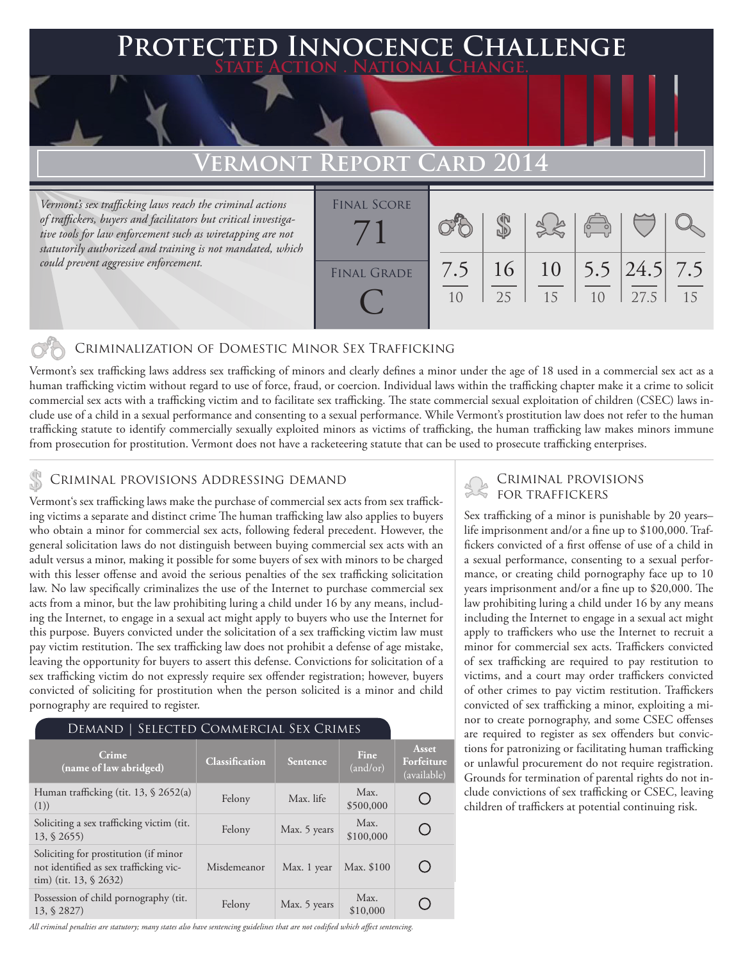## **PED INNOCENCE CHALLENGE State Action . National Change.**

## **VERMONT REPORT**

*Vermont's sex trafficking laws reach the criminal actions of traffickers, buyers and facilitators but critical investigative tools for law enforcement such as wiretapping are not statutorily authorized and training is not mandated, which could prevent aggressive enforcement.*

| <b>FINAL SCORE</b> |     |    |    |                |                         |    |
|--------------------|-----|----|----|----------------|-------------------------|----|
|                    |     |    |    | $\sqrt{2}$     |                         |    |
|                    |     |    |    |                |                         |    |
|                    |     |    |    |                |                         |    |
| <b>FINAL GRADE</b> | 7.5 | 16 |    |                | $10$   5.5   24.5   7.5 |    |
|                    |     |    |    |                |                         |    |
|                    | 10  | 25 | 15 | 1 <sub>0</sub> | 27.5                    | 15 |
|                    |     |    |    |                |                         |    |

### Criminalization of Domestic Minor Sex Trafficking

Vermont's sex trafficking laws address sex trafficking of minors and clearly defines a minor under the age of 18 used in a commercial sex act as a human trafficking victim without regard to use of force, fraud, or coercion. Individual laws within the trafficking chapter make it a crime to solicit commercial sex acts with a trafficking victim and to facilitate sex trafficking. The state commercial sexual exploitation of children (CSEC) laws include use of a child in a sexual performance and consenting to a sexual performance. While Vermont's prostitution law does not refer to the human trafficking statute to identify commercially sexually exploited minors as victims of trafficking, the human trafficking law makes minors immune from prosecution for prostitution. Vermont does not have a racketeering statute that can be used to prosecute trafficking enterprises.

Vermont's sex trafficking laws make the purchase of commercial sex acts from sex trafficking victims a separate and distinct crime The human trafficking law also applies to buyers who obtain a minor for commercial sex acts, following federal precedent. However, the general solicitation laws do not distinguish between buying commercial sex acts with an adult versus a minor, making it possible for some buyers of sex with minors to be charged with this lesser offense and avoid the serious penalties of the sex trafficking solicitation law. No law specifically criminalizes the use of the Internet to purchase commercial sex acts from a minor, but the law prohibiting luring a child under 16 by any means, including the Internet, to engage in a sexual act might apply to buyers who use the Internet for this purpose. Buyers convicted under the solicitation of a sex trafficking victim law must pay victim restitution. The sex trafficking law does not prohibit a defense of age mistake, leaving the opportunity for buyers to assert this defense. Convictions for solicitation of a sex trafficking victim do not expressly require sex offender registration; however, buyers convicted of soliciting for prostitution when the person solicited is a minor and child pornography are required to register.

| DEMAND   SELECTED COMMERCIAL SEX CRIMES                                                                       |                       |              |                         |                                    |  |  |  |  |
|---------------------------------------------------------------------------------------------------------------|-----------------------|--------------|-------------------------|------------------------------------|--|--|--|--|
| Crime<br>(name of law abridged)                                                                               | <b>Classification</b> | Sentence     | <b>Fine</b><br>(and/or) | Asset<br>Forfeiture<br>(available) |  |  |  |  |
| Human trafficking (tit. 13, § 2652(a)<br>(1))                                                                 | Felony                | Max. life    | Max.<br>\$500,000       |                                    |  |  |  |  |
| Soliciting a sex trafficking victim (tit.<br>$13, \S 2655$                                                    | Felony                | Max. 5 years | Max.<br>\$100,000       |                                    |  |  |  |  |
| Soliciting for prostitution (if minor<br>not identified as sex trafficking vic-<br>tim) (tit. $13, \S 2632$ ) | Misdemeanor           | Max. 1 year  | Max. \$100              |                                    |  |  |  |  |
| Possession of child pornography (tit.<br>13, § 2827)                                                          | Felony                | Max. 5 years | Max.<br>\$10,000        |                                    |  |  |  |  |

### *All criminal penalties are statutory; many states also have sentencing guidelines that are not codified which affect sentencing.*

# CRIMINAL PROVISIONS ADDRESSING DEMAND<br>Vermontie een trafficking laure make the nurchase of commercial sex acts from sex traffick. FOR TRAFFICKERS

Sex trafficking of a minor is punishable by 20 years– life imprisonment and/or a fine up to \$100,000. Traffickers convicted of a first offense of use of a child in a sexual performance, consenting to a sexual performance, or creating child pornography face up to 10 years imprisonment and/or a fine up to \$20,000. The law prohibiting luring a child under 16 by any means including the Internet to engage in a sexual act might apply to traffickers who use the Internet to recruit a minor for commercial sex acts. Traffickers convicted of sex trafficking are required to pay restitution to victims, and a court may order traffickers convicted of other crimes to pay victim restitution. Traffickers convicted of sex trafficking a minor, exploiting a minor to create pornography, and some CSEC offenses are required to register as sex offenders but convictions for patronizing or facilitating human trafficking or unlawful procurement do not require registration. Grounds for termination of parental rights do not include convictions of sex trafficking or CSEC, leaving children of traffickers at potential continuing risk.